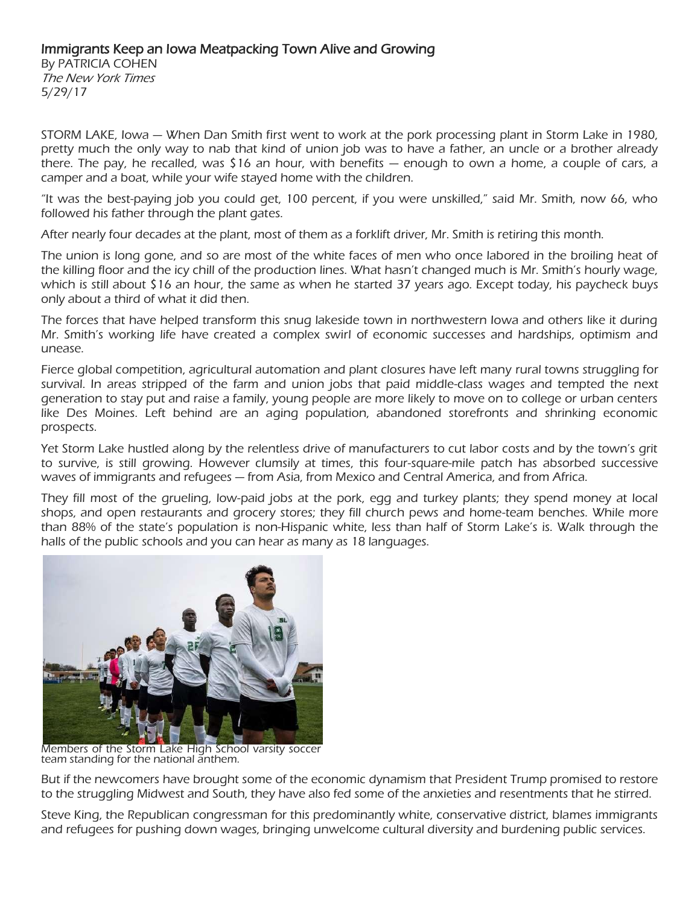By PATRICIA COHEN The New York Times 5/29/17

STORM LAKE, Iowa — When Dan Smith first went to work at the pork processing plant in Storm Lake in 1980, pretty much the only way to nab that kind of union job was to have a father, an uncle or a brother already there. The pay, he recalled, was \$16 an hour, with benefits  $-$  enough to own a home, a couple of cars, a camper and a boat, while your wife stayed home with the children.

"It was the best-paying job you could get, 100 percent, if you were unskilled," said Mr. Smith, now 66, who followed his father through the plant gates.

After nearly four decades at the plant, most of them as a forklift driver, Mr. Smith is retiring this month.

The union is long gone, and so are most of the white faces of men who once labored in the broiling heat of the killing floor and the icy chill of the production lines. What hasn't changed much is Mr. Smith's hourly wage, which is still about \$16 an hour, the same as when he started 37 years ago. Except today, his paycheck buys only about a third of what it did then.

The forces that have helped transform this snug lakeside town in northwestern Iowa and others like it during Mr. Smith's working life have created a complex swirl of economic successes and hardships, optimism and unease.

Fierce global competition, agricultural automation and plant closures have left many rural towns struggling for survival. In areas stripped of the farm and union jobs that paid middle-class wages and tempted the next generation to stay put and raise a family, young people are more likely to move on to college or urban centers like Des Moines. Left behind are an aging population, abandoned storefronts and shrinking economic prospects.

Yet Storm Lake hustled along by the relentless drive of manufacturers to cut labor costs and by the town's grit to survive, is still growing. However clumsily at times, this four-square-mile patch has absorbed successive waves of immigrants and refugees — from Asia, from Mexico and Central America, and from Africa.

They fill most of the grueling, low-paid jobs at the pork, egg and turkey plants; they spend money at local shops, and open restaurants and grocery stores; they fill church pews and home-team benches. While more than 88% of the state's population is non-Hispanic white, less than half of Storm Lake's is. Walk through the halls of the public schools and you can hear as many as 18 languages.



Members of the Storm Lake High School varsity soccer team standing for the national anthem.

But if the newcomers have brought some of the economic dynamism that President Trump promised to restore to the struggling Midwest and South, they have also fed some of the anxieties and resentments that he stirred.

Steve King, the Republican congressman for this predominantly white, conservative district, blames immigrants and refugees for pushing down wages, bringing unwelcome cultural diversity and burdening public services.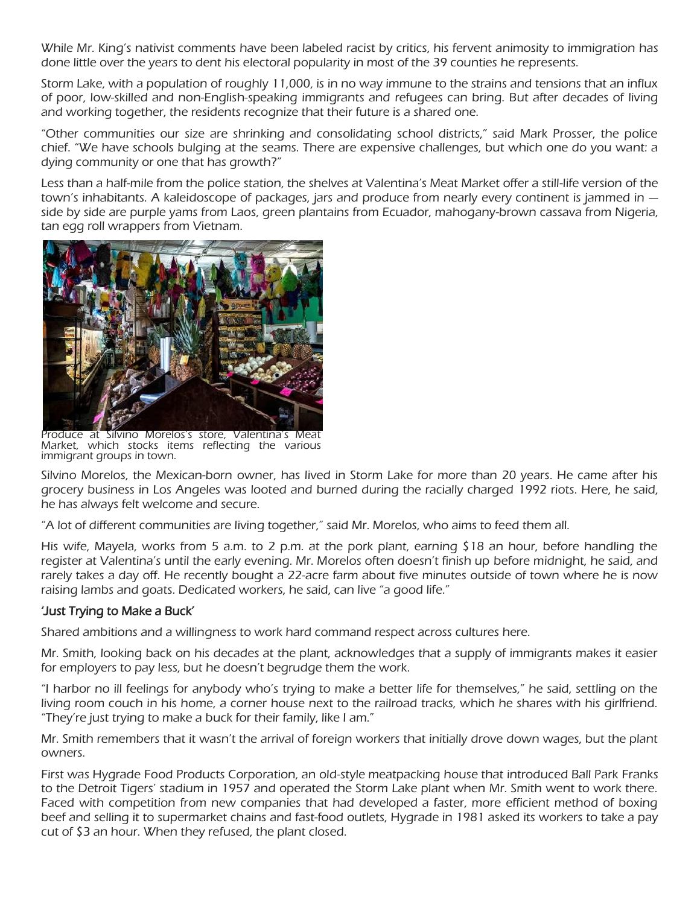While Mr. King's nativist comments have been labeled racist by critics, his fervent animosity to immigration has done little over the years to dent his electoral popularity in most of the 39 counties he represents.

Storm Lake, with a population of roughly 11,000, is in no way immune to the strains and tensions that an influx of poor, low-skilled and non-English-speaking immigrants and refugees can bring. But after decades of living and working together, the residents recognize that their future is a shared one.

"Other communities our size are shrinking and consolidating school districts," said Mark Prosser, the police chief. "We have schools bulging at the seams. There are expensive challenges, but which one do you want: a dying community or one that has growth?"

Less than a half-mile from the police station, the shelves at Valentina's Meat Market offer a still-life version of the town's inhabitants. A kaleidoscope of packages, jars and produce from nearly every continent is jammed in side by side are purple yams from Laos, green plantains from Ecuador, mahogany-brown cassava from Nigeria, tan egg roll wrappers from Vietnam.



Produce at Silvino Morelos's store, Valentina's Meat Market, which stocks items reflecting the various immigrant groups in town.

Silvino Morelos, the Mexican-born owner, has lived in Storm Lake for more than 20 years. He came after his grocery business in Los Angeles was looted and burned during the racially charged 1992 riots. Here, he said, he has always felt welcome and secure.

"A lot of different communities are living together," said Mr. Morelos, who aims to feed them all.

His wife, Mayela, works from 5 a.m. to 2 p.m. at the pork plant, earning \$18 an hour, before handling the register at Valentina's until the early evening. Mr. Morelos often doesn't finish up before midnight, he said, and rarely takes a day off. He recently bought a 22-acre farm about five minutes outside of town where he is now raising lambs and goats. Dedicated workers, he said, can live "a good life."

## 'Just Trying to Make a Buck'

Shared ambitions and a willingness to work hard command respect across cultures here.

Mr. Smith, looking back on his decades at the plant, acknowledges that a supply of immigrants makes it easier for employers to pay less, but he doesn't begrudge them the work.

"I harbor no ill feelings for anybody who's trying to make a better life for themselves," he said, settling on the living room couch in his home, a corner house next to the railroad tracks, which he shares with his girlfriend. "They're just trying to make a buck for their family, like I am."

Mr. Smith remembers that it wasn't the arrival of foreign workers that initially drove down wages, but the plant owners.

First was Hygrade Food Products Corporation, an old-style meatpacking house that introduced Ball Park Franks to the Detroit Tigers' stadium in 1957 and operated the Storm Lake plant when Mr. Smith went to work there. Faced with competition from new companies that had developed a faster, more efficient method of boxing beef and selling it to supermarket chains and fast-food outlets, Hygrade in 1981 asked its workers to take a pay cut of \$3 an hour. When they refused, the plant closed.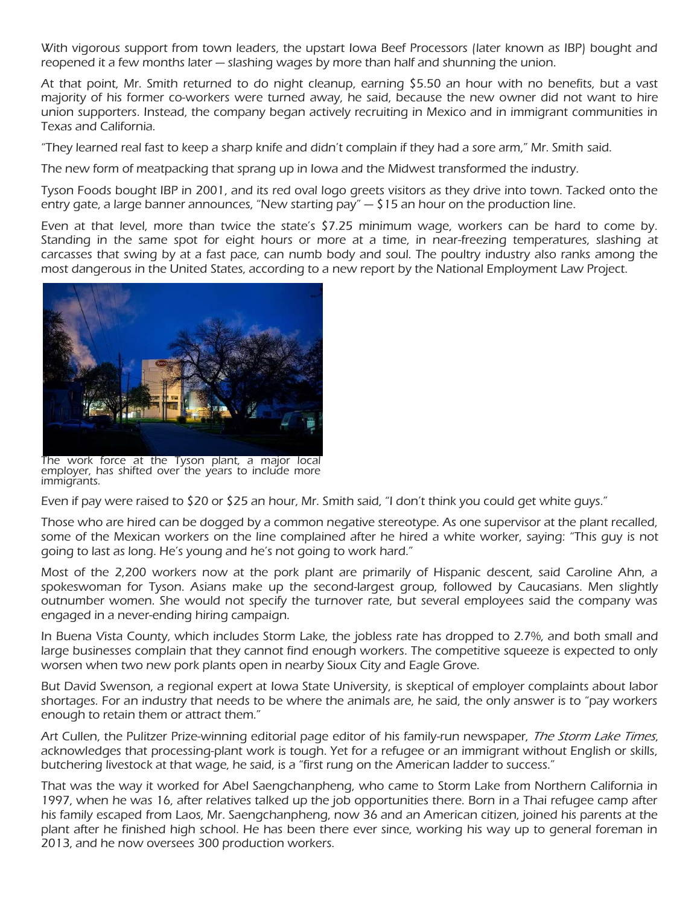With vigorous support from town leaders, the upstart Iowa Beef Processors (later known as IBP) bought and reopened it a few months later — slashing wages by more than half and shunning the union.

At that point, Mr. Smith returned to do night cleanup, earning \$5.50 an hour with no benefits, but a vast majority of his former co-workers were turned away, he said, because the new owner did not want to hire union supporters. Instead, the company began actively recruiting in Mexico and in immigrant communities in Texas and California.

"They learned real fast to keep a sharp knife and didn't complain if they had a sore arm," Mr. Smith said.

The new form of meatpacking that sprang up in Iowa and the Midwest transformed the industry.

Tyson Foods bought IBP in 2001, and its red oval logo greets visitors as they drive into town. Tacked onto the entry gate, a large banner announces, "New starting pay" — \$15 an hour on the production line.

Even at that level, more than twice the state's \$7.25 minimum wage, workers can be hard to come by. Standing in the same spot for eight hours or more at a time, in near-freezing temperatures, slashing at carcasses that swing by at a fast pace, can numb body and soul. The poultry industry also ranks among the most dangerous in the United States, according to a new report by the National Employment Law Project.



The work force at the Tyson plant, a major local employer, has shifted over the years to include more immigrants.

Even if pay were raised to \$20 or \$25 an hour, Mr. Smith said, "I don't think you could get white guys."

Those who are hired can be dogged by a common negative stereotype. As one supervisor at the plant recalled, some of the Mexican workers on the line complained after he hired a white worker, saying: "This guy is not going to last as long. He's young and he's not going to work hard."

Most of the 2,200 workers now at the pork plant are primarily of Hispanic descent, said Caroline Ahn, a spokeswoman for Tyson. Asians make up the second-largest group, followed by Caucasians. Men slightly outnumber women. She would not specify the turnover rate, but several employees said the company was engaged in a never-ending hiring campaign.

In Buena Vista County, which includes Storm Lake, the jobless rate has dropped to 2.7%, and both small and large businesses complain that they cannot find enough workers. The competitive squeeze is expected to only worsen when two new pork plants open in nearby Sioux City and Eagle Grove.

But David Swenson, a regional expert at Iowa State University, is skeptical of employer complaints about labor shortages. For an industry that needs to be where the animals are, he said, the only answer is to "pay workers enough to retain them or attract them."

Art Cullen, the Pulitzer Prize-winning editorial page editor of his family-run newspaper, The Storm Lake Times, acknowledges that processing-plant work is tough. Yet for a refugee or an immigrant without English or skills, butchering livestock at that wage, he said, is a "first rung on the American ladder to success."

That was the way it worked for Abel Saengchanpheng, who came to Storm Lake from Northern California in 1997, when he was 16, after relatives talked up the job opportunities there. Born in a Thai refugee camp after his family escaped from Laos, Mr. Saengchanpheng, now 36 and an American citizen, joined his parents at the plant after he finished high school. He has been there ever since, working his way up to general foreman in 2013, and he now oversees 300 production workers.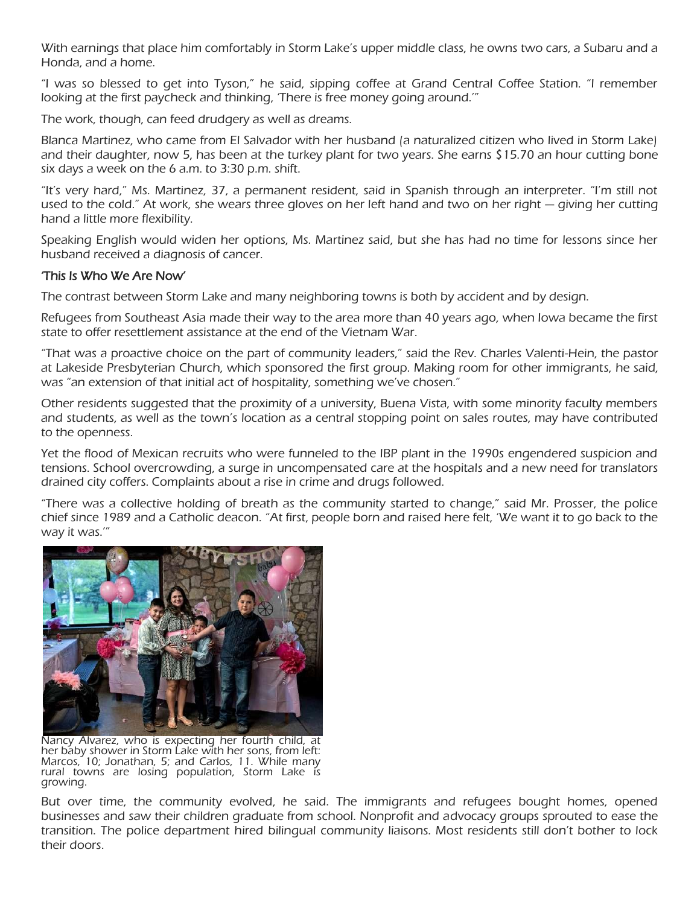With earnings that place him comfortably in Storm Lake's upper middle class, he owns two cars, a Subaru and a Honda, and a home.

"I was so blessed to get into Tyson," he said, sipping coffee at Grand Central Coffee Station. "I remember looking at the first paycheck and thinking, 'There is free money going around.'"

The work, though, can feed drudgery as well as dreams.

Blanca Martinez, who came from El Salvador with her husband (a naturalized citizen who lived in Storm Lake) and their daughter, now 5, has been at the turkey plant for two years. She earns \$15.70 an hour cutting bone six days a week on the 6 a.m. to 3:30 p.m. shift.

"It's very hard," Ms. Martinez, 37, a permanent resident, said in Spanish through an interpreter. "I'm still not used to the cold." At work, she wears three gloves on her left hand and two on her right — giving her cutting hand a little more flexibility.

Speaking English would widen her options, Ms. Martinez said, but she has had no time for lessons since her husband received a diagnosis of cancer.

## 'This Is Who We Are Now'

The contrast between Storm Lake and many neighboring towns is both by accident and by design.

Refugees from Southeast Asia made their way to the area more than 40 years ago, when Iowa became the first state to offer resettlement assistance at the end of the Vietnam War.

"That was a proactive choice on the part of community leaders," said the Rev. Charles Valenti-Hein, the pastor at Lakeside Presbyterian Church, which sponsored the first group. Making room for other immigrants, he said, was "an extension of that initial act of hospitality, something we've chosen."

Other residents suggested that the proximity of a university, Buena Vista, with some minority faculty members and students, as well as the town's location as a central stopping point on sales routes, may have contributed to the openness.

Yet the flood of Mexican recruits who were funneled to the IBP plant in the 1990s engendered suspicion and tensions. School overcrowding, a surge in uncompensated care at the hospitals and a new need for translators drained city coffers. Complaints about a rise in crime and drugs followed.

"There was a collective holding of breath as the community started to change," said Mr. Prosser, the police chief since 1989 and a Catholic deacon. "At first, people born and raised here felt, 'We want it to go back to the way it was.'"



Nancy Alvarez, who is expecting her fourth child, at her baby shower in Storm Lake with her sons, from left: Marcos, 10; Jonathan, 5; and Carlos, 11. While many rural towns are losing population, Storm Lake is growing.

But over time, the community evolved, he said. The immigrants and refugees bought homes, opened businesses and saw their children graduate from school. Nonprofit and advocacy groups sprouted to ease the transition. The police department hired bilingual community liaisons. Most residents still don't bother to lock their doors.